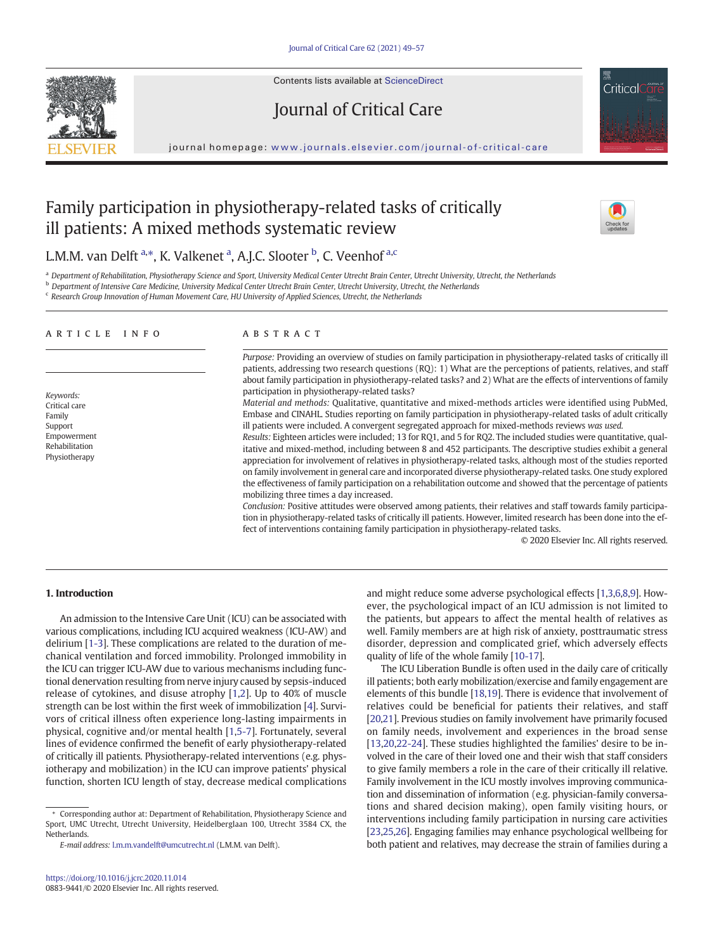

Contents lists available at ScienceDirect

# Journal of Critical Care



journal homepage: <www.journals.elsevier.com/journal-of-critical-care>

# Family participation in physiotherapy-related tasks of critically ill patients: A mixed methods systematic review



# L.M.M. van Delft <sup>a,\*</sup>, K. Valkenet <sup>a</sup>, A.J.C. Slooter <sup>b</sup>, C. Veenhof <sup>a,c</sup>

a Department of Rehabilitation, Physiotherapy Science and Sport, University Medical Center Utrecht Brain Center, Utrecht University, Utrecht, the Netherlands

<sup>b</sup> Department of Intensive Care Medicine, University Medical Center Utrecht Brain Center, Utrecht University, Utrecht, the Netherlands

<sup>c</sup> Research Group Innovation of Human Movement Care, HU University of Applied Sciences, Utrecht, the Netherlands

# article info abstract

Keywords: Critical care Family Support Empowerment Rehabilitation Physiotherapy

Purpose: Providing an overview of studies on family participation in physiotherapy-related tasks of critically ill patients, addressing two research questions (RQ): 1) What are the perceptions of patients, relatives, and staff about family participation in physiotherapy-related tasks? and 2) What are the effects of interventions of family participation in physiotherapy-related tasks?

Material and methods: Qualitative, quantitative and mixed-methods articles were identified using PubMed, Embase and CINAHL. Studies reporting on family participation in physiotherapy-related tasks of adult critically ill patients were included. A convergent segregated approach for mixed-methods reviews was used.

Results: Eighteen articles were included; 13 for RQ1, and 5 for RQ2. The included studies were quantitative, qualitative and mixed-method, including between 8 and 452 participants. The descriptive studies exhibit a general appreciation for involvement of relatives in physiotherapy-related tasks, although most of the studies reported on family involvement in general care and incorporated diverse physiotherapy-related tasks. One study explored the effectiveness of family participation on a rehabilitation outcome and showed that the percentage of patients mobilizing three times a day increased.

Conclusion: Positive attitudes were observed among patients, their relatives and staff towards family participation in physiotherapy-related tasks of critically ill patients. However, limited research has been done into the effect of interventions containing family participation in physiotherapy-related tasks.

© 2020 Elsevier Inc. All rights reserved.

# 1. Introduction

An admission to the Intensive Care Unit (ICU) can be associated with various complications, including ICU acquired weakness (ICU-AW) and delirium [[1-3](#page-7-0)]. These complications are related to the duration of mechanical ventilation and forced immobility. Prolonged immobility in the ICU can trigger ICU-AW due to various mechanisms including functional denervation resulting from nerve injury caused by sepsis-induced release of cytokines, and disuse atrophy [[1,2](#page-7-0)]. Up to 40% of muscle strength can be lost within the first week of immobilization [\[4\]](#page-7-0). Survivors of critical illness often experience long-lasting impairments in physical, cognitive and/or mental health [\[1,5-7\]](#page-7-0). Fortunately, several lines of evidence confirmed the benefit of early physiotherapy-related of critically ill patients. Physiotherapy-related interventions (e.g. physiotherapy and mobilization) in the ICU can improve patients' physical function, shorten ICU length of stay, decrease medical complications

⁎ Corresponding author at: Department of Rehabilitation, Physiotherapy Science and Sport, UMC Utrecht, Utrecht University, Heidelberglaan 100, Utrecht 3584 CX, the **Netherlands**.

and might reduce some adverse psychological effects [[1,3,6,8](#page-7-0),[9](#page-7-0)]. However, the psychological impact of an ICU admission is not limited to the patients, but appears to affect the mental health of relatives as well. Family members are at high risk of anxiety, posttraumatic stress disorder, depression and complicated grief, which adversely effects quality of life of the whole family [[10-17\]](#page-7-0).

The ICU Liberation Bundle is often used in the daily care of critically ill patients; both early mobilization/exercise and family engagement are elements of this bundle [\[18,19](#page-8-0)]. There is evidence that involvement of relatives could be beneficial for patients their relatives, and staff [[20,21](#page-8-0)]. Previous studies on family involvement have primarily focused on family needs, involvement and experiences in the broad sense [[13](#page-7-0),[20](#page-8-0),[22-24](#page-8-0)]. These studies highlighted the families' desire to be involved in the care of their loved one and their wish that staff considers to give family members a role in the care of their critically ill relative. Family involvement in the ICU mostly involves improving communication and dissemination of information (e.g. physician-family conversations and shared decision making), open family visiting hours, or interventions including family participation in nursing care activities [[23,25,26](#page-8-0)]. Engaging families may enhance psychological wellbeing for both patient and relatives, may decrease the strain of families during a

E-mail address: [l.m.m.vandelft@umcutrecht.nl](mailto:l.m.m.vandelft@umcutrecht.nl) (L.M.M. van Delft).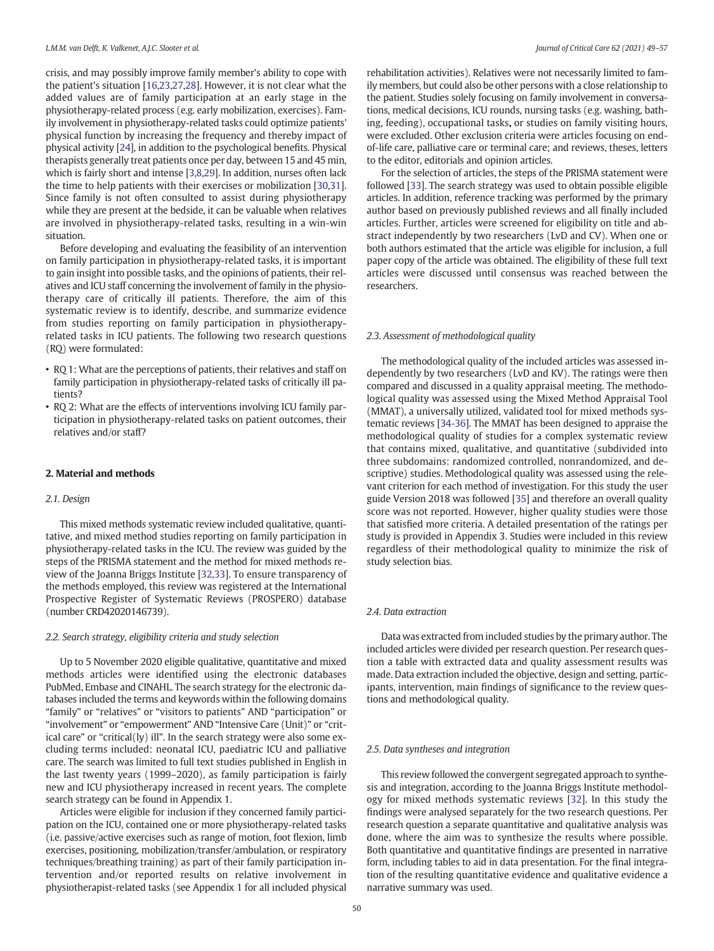crisis, and may possibly improve family member's ability to cope with the patient's situation [\[16](#page-7-0),[23](#page-8-0),[27,28\]](#page-8-0). However, it is not clear what the added values are of family participation at an early stage in the physiotherapy-related process (e.g. early mobilization, exercises). Family involvement in physiotherapy-related tasks could optimize patients' physical function by increasing the frequency and thereby impact of physical activity [[24\]](#page-8-0), in addition to the psychological benefits. Physical therapists generally treat patients once per day, between 15 and 45 min, which is fairly short and intense [[3,8](#page-7-0)[,29](#page-8-0)]. In addition, nurses often lack the time to help patients with their exercises or mobilization [[30,31\]](#page-8-0). Since family is not often consulted to assist during physiotherapy while they are present at the bedside, it can be valuable when relatives are involved in physiotherapy-related tasks, resulting in a win-win situation.

Before developing and evaluating the feasibility of an intervention on family participation in physiotherapy-related tasks, it is important to gain insight into possible tasks, and the opinions of patients, their relatives and ICU staff concerning the involvement of family in the physiotherapy care of critically ill patients. Therefore, the aim of this systematic review is to identify, describe, and summarize evidence from studies reporting on family participation in physiotherapyrelated tasks in ICU patients. The following two research questions (RQ) were formulated:

- RQ 1: What are the perceptions of patients, their relatives and staff on family participation in physiotherapy-related tasks of critically ill patients?
- RQ 2: What are the effects of interventions involving ICU family participation in physiotherapy-related tasks on patient outcomes, their relatives and/or staff?

## 2. Material and methods

#### 2.1. Design

This mixed methods systematic review included qualitative, quantitative, and mixed method studies reporting on family participation in physiotherapy-related tasks in the ICU. The review was guided by the steps of the PRISMA statement and the method for mixed methods review of the Joanna Briggs Institute [[32](#page-8-0),[33\]](#page-8-0). To ensure transparency of the methods employed, this review was registered at the International Prospective Register of Systematic Reviews (PROSPERO) database (number CRD42020146739).

# 2.2. Search strategy, eligibility criteria and study selection

Up to 5 November 2020 eligible qualitative, quantitative and mixed methods articles were identified using the electronic databases PubMed, Embase and CINAHL. The search strategy for the electronic databases included the terms and keywords within the following domains "family" or "relatives" or "visitors to patients" AND "participation" or "involvement" or "empowerment" AND "Intensive Care (Unit)" or "critical care" or "critical(ly) ill". In the search strategy were also some excluding terms included: neonatal ICU, paediatric ICU and palliative care. The search was limited to full text studies published in English in the last twenty years (1999–2020), as family participation is fairly new and ICU physiotherapy increased in recent years. The complete search strategy can be found in Appendix 1.

Articles were eligible for inclusion if they concerned family participation on the ICU, contained one or more physiotherapy-related tasks (i.e. passive/active exercises such as range of motion, foot flexion, limb exercises, positioning, mobilization/transfer/ambulation, or respiratory techniques/breathing training) as part of their family participation intervention and/or reported results on relative involvement in physiotherapist-related tasks (see Appendix 1 for all included physical

rehabilitation activities). Relatives were not necessarily limited to family members, but could also be other persons with a close relationship to the patient. Studies solely focusing on family involvement in conversations, medical decisions, ICU rounds, nursing tasks (e.g. washing, bathing, feeding), occupational tasks, or studies on family visiting hours, were excluded. Other exclusion criteria were articles focusing on endof-life care, palliative care or terminal care; and reviews, theses, letters to the editor, editorials and opinion articles.

For the selection of articles, the steps of the PRISMA statement were followed [\[33](#page-8-0)]. The search strategy was used to obtain possible eligible articles. In addition, reference tracking was performed by the primary author based on previously published reviews and all finally included articles. Further, articles were screened for eligibility on title and abstract independently by two researchers (LvD and CV). When one or both authors estimated that the article was eligible for inclusion, a full paper copy of the article was obtained. The eligibility of these full text articles were discussed until consensus was reached between the researchers.

#### 2.3. Assessment of methodological quality

The methodological quality of the included articles was assessed independently by two researchers (LvD and KV). The ratings were then compared and discussed in a quality appraisal meeting. The methodological quality was assessed using the Mixed Method Appraisal Tool (MMAT), a universally utilized, validated tool for mixed methods systematic reviews [[34-36\]](#page-8-0). The MMAT has been designed to appraise the methodological quality of studies for a complex systematic review that contains mixed, qualitative, and quantitative (subdivided into three subdomains: randomized controlled, nonrandomized, and descriptive) studies. Methodological quality was assessed using the relevant criterion for each method of investigation. For this study the user guide Version 2018 was followed [\[35](#page-8-0)] and therefore an overall quality score was not reported. However, higher quality studies were those that satisfied more criteria. A detailed presentation of the ratings per study is provided in Appendix 3. Studies were included in this review regardless of their methodological quality to minimize the risk of study selection bias.

# 2.4. Data extraction

Data was extracted from included studies by the primary author. The included articles were divided per research question. Per research question a table with extracted data and quality assessment results was made. Data extraction included the objective, design and setting, participants, intervention, main findings of significance to the review questions and methodological quality.

#### 2.5. Data syntheses and integration

This review followed the convergent segregated approach to synthesis and integration, according to the Joanna Briggs Institute methodology for mixed methods systematic reviews [\[32](#page-8-0)]. In this study the findings were analysed separately for the two research questions. Per research question a separate quantitative and qualitative analysis was done, where the aim was to synthesize the results where possible. Both quantitative and quantitative findings are presented in narrative form, including tables to aid in data presentation. For the final integration of the resulting quantitative evidence and qualitative evidence a narrative summary was used.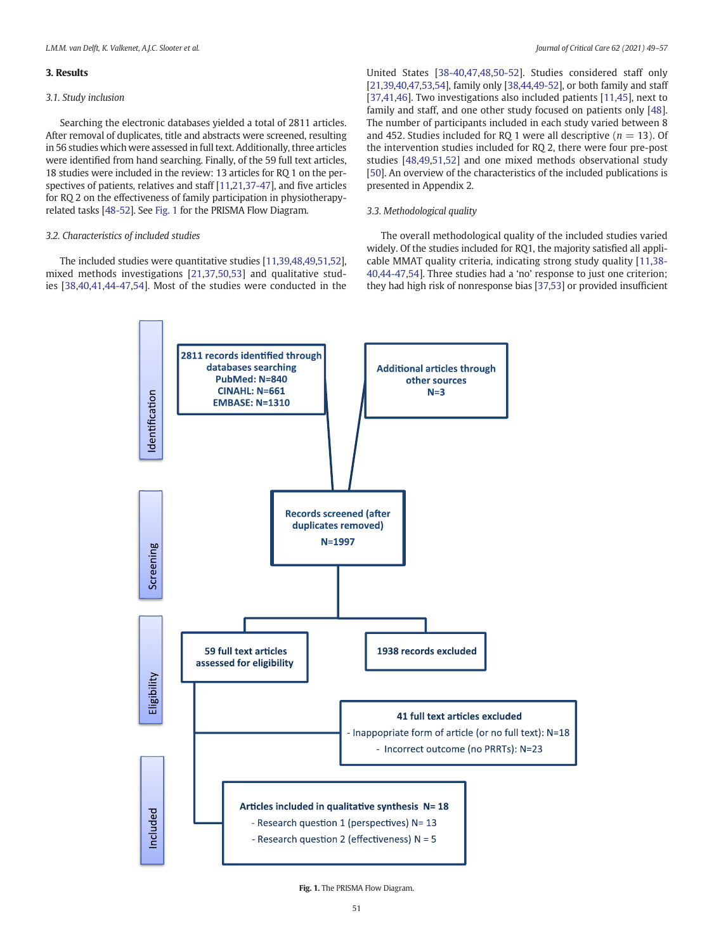# 3. Results

## 3.1. Study inclusion

Searching the electronic databases yielded a total of 2811 articles. After removal of duplicates, title and abstracts were screened, resulting in 56 studies which were assessed in full text. Additionally, three articles were identified from hand searching. Finally, of the 59 full text articles, 18 studies were included in the review: 13 articles for RQ 1 on the perspectives of patients, relatives and staff [\[11](#page-7-0),[21,37-47\]](#page-8-0), and five articles for RQ 2 on the effectiveness of family participation in physiotherapyrelated tasks [[48-52\]](#page-8-0). See Fig. 1 for the PRISMA Flow Diagram.

# 3.2. Characteristics of included studies

The included studies were quantitative studies [[11,](#page-7-0)[39,48,49](#page-8-0),[51,52\]](#page-8-0), mixed methods investigations [[21,37,50,53](#page-8-0)] and qualitative studies [\[38,40,41,44-47,54](#page-8-0)]. Most of the studies were conducted in the United States [[38-40,47,48,50-52](#page-8-0)]. Studies considered staff only [[21,39,40,47](#page-8-0),[53,54\]](#page-8-0), family only [[38,44,49-52](#page-8-0)], or both family and staff [[37](#page-8-0),[41](#page-8-0),[46](#page-8-0)]. Two investigations also included patients [[11](#page-7-0),[45](#page-8-0)], next to family and staff, and one other study focused on patients only [\[48](#page-8-0)]. The number of participants included in each study varied between 8 and 452. Studies included for RQ 1 were all descriptive ( $n = 13$ ). Of the intervention studies included for RQ 2, there were four pre-post studies [[48,49,51,52](#page-8-0)] and one mixed methods observational study [[50\]](#page-8-0). An overview of the characteristics of the included publications is presented in Appendix 2.

# 3.3. Methodological quality

The overall methodological quality of the included studies varied widely. Of the studies included for RQ1, the majority satisfied all applicable MMAT quality criteria, indicating strong study quality [[11,](#page-7-0)[38-](#page-8-0) [40,44-47,54\]](#page-8-0). Three studies had a 'no' response to just one criterion; they had high risk of nonresponse bias [[37,53\]](#page-8-0) or provided insufficient



Fig. 1. The PRISMA Flow Diagram.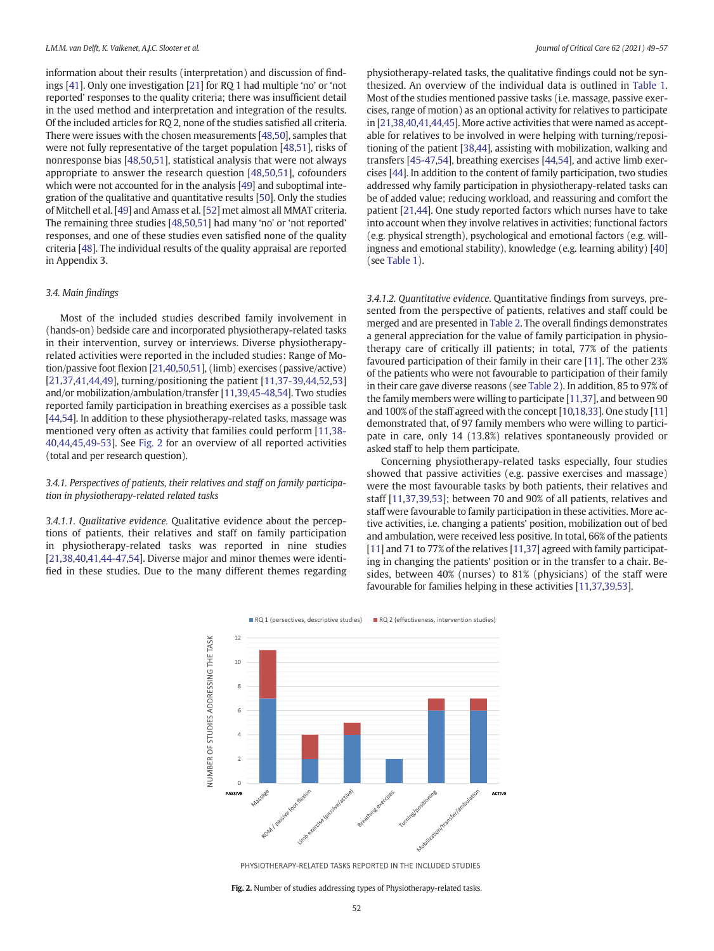<span id="page-3-0"></span>information about their results (interpretation) and discussion of findings [[41\]](#page-8-0). Only one investigation [\[21](#page-8-0)] for RQ 1 had multiple 'no' or 'not reported' responses to the quality criteria; there was insufficient detail in the used method and interpretation and integration of the results. Of the included articles for RQ 2, none of the studies satisfied all criteria. There were issues with the chosen measurements [\[48,50\]](#page-8-0), samples that were not fully representative of the target population [\[48,51](#page-8-0)], risks of nonresponse bias [\[48,50,51](#page-8-0)], statistical analysis that were not always appropriate to answer the research question [\[48,50,51\]](#page-8-0), cofounders which were not accounted for in the analysis [\[49](#page-8-0)] and suboptimal integration of the qualitative and quantitative results [\[50](#page-8-0)]. Only the studies of Mitchell et al. [\[49](#page-8-0)] and Amass et al. [\[52\]](#page-8-0) met almost all MMAT criteria. The remaining three studies [\[48](#page-8-0),[50,51](#page-8-0)] had many 'no' or 'not reported' responses, and one of these studies even satisfied none of the quality criteria [\[48\]](#page-8-0). The individual results of the quality appraisal are reported in Appendix 3.

# 3.4. Main findings

Most of the included studies described family involvement in (hands-on) bedside care and incorporated physiotherapy-related tasks in their intervention, survey or interviews. Diverse physiotherapyrelated activities were reported in the included studies: Range of Motion/passive foot flexion [\[21](#page-8-0),[40,50,51](#page-8-0)], (limb) exercises (passive/active) [[21](#page-8-0),[37,41,44,49](#page-8-0)], turning/positioning the patient [\[11](#page-7-0)[,37-39](#page-8-0),[44,52,53](#page-8-0)] and/or mobilization/ambulation/transfer [\[11,](#page-7-0)[39,45-48,54](#page-8-0)]. Two studies reported family participation in breathing exercises as a possible task [[44,54\]](#page-8-0). In addition to these physiotherapy-related tasks, massage was mentioned very often as activity that families could perform [[11,](#page-7-0)[38-](#page-8-0) [40,44,45,49-53](#page-8-0)]. See Fig. 2 for an overview of all reported activities (total and per research question).

# 3.4.1. Perspectives of patients, their relatives and staff on family participation in physiotherapy-related related tasks

3.4.1.1. Qualitative evidence. Qualitative evidence about the perceptions of patients, their relatives and staff on family participation in physiotherapy-related tasks was reported in nine studies [[21,38,40,41,44-47,54](#page-8-0)]. Diverse major and minor themes were identified in these studies. Due to the many different themes regarding physiotherapy-related tasks, the qualitative findings could not be synthesized. An overview of the individual data is outlined in [Table 1](#page-4-0). Most of the studies mentioned passive tasks (i.e. massage, passive exercises, range of motion) as an optional activity for relatives to participate in [\[21,38,40,41](#page-8-0),[44,45](#page-8-0)]. More active activities that were named as acceptable for relatives to be involved in were helping with turning/repositioning of the patient [[38,44](#page-8-0)], assisting with mobilization, walking and transfers [\[45-47,54](#page-8-0)], breathing exercises [[44,54](#page-8-0)], and active limb exercises [\[44](#page-8-0)]. In addition to the content of family participation, two studies addressed why family participation in physiotherapy-related tasks can be of added value; reducing workload, and reassuring and comfort the patient [[21,44\]](#page-8-0). One study reported factors which nurses have to take into account when they involve relatives in activities; functional factors (e.g. physical strength), psychological and emotional factors (e.g. willingness and emotional stability), knowledge (e.g. learning ability) [\[40](#page-8-0)] (see [Table 1\)](#page-4-0).

3.4.1.2. Quantitative evidence. Quantitative findings from surveys, presented from the perspective of patients, relatives and staff could be merged and are presented in [Table 2](#page-5-0). The overall findings demonstrates a general appreciation for the value of family participation in physiotherapy care of critically ill patients; in total, 77% of the patients favoured participation of their family in their care [\[11](#page-7-0)]. The other 23% of the patients who were not favourable to participation of their family in their care gave diverse reasons (see [Table 2](#page-5-0)). In addition, 85 to 97% of the family members were willing to participate [\[11](#page-7-0),[37\]](#page-8-0), and between 90 and 100% of the staff agreed with the concept [\[10,](#page-7-0)[18,33](#page-8-0)]. One study [\[11](#page-7-0)] demonstrated that, of 97 family members who were willing to participate in care, only 14 (13.8%) relatives spontaneously provided or asked staff to help them participate.

Concerning physiotherapy-related tasks especially, four studies showed that passive activities (e.g. passive exercises and massage) were the most favourable tasks by both patients, their relatives and staff [\[11](#page-7-0)[,37,39,53](#page-8-0)]; between 70 and 90% of all patients, relatives and staff were favourable to family participation in these activities. More active activities, i.e. changing a patients' position, mobilization out of bed and ambulation, were received less positive. In total, 66% of the patients [[11\]](#page-7-0) and 71 to 77% of the relatives [\[11](#page-7-0),[37\]](#page-8-0) agreed with family participating in changing the patients' position or in the transfer to a chair. Besides, between 40% (nurses) to 81% (physicians) of the staff were favourable for families helping in these activities [\[11,](#page-7-0)[37,39](#page-8-0),[53\]](#page-8-0).



PHYSIOTHERAPY-RELATED TASKS REPORTED IN THE INCLUDED STUDIES

Fig. 2. Number of studies addressing types of Physiotherapy-related tasks.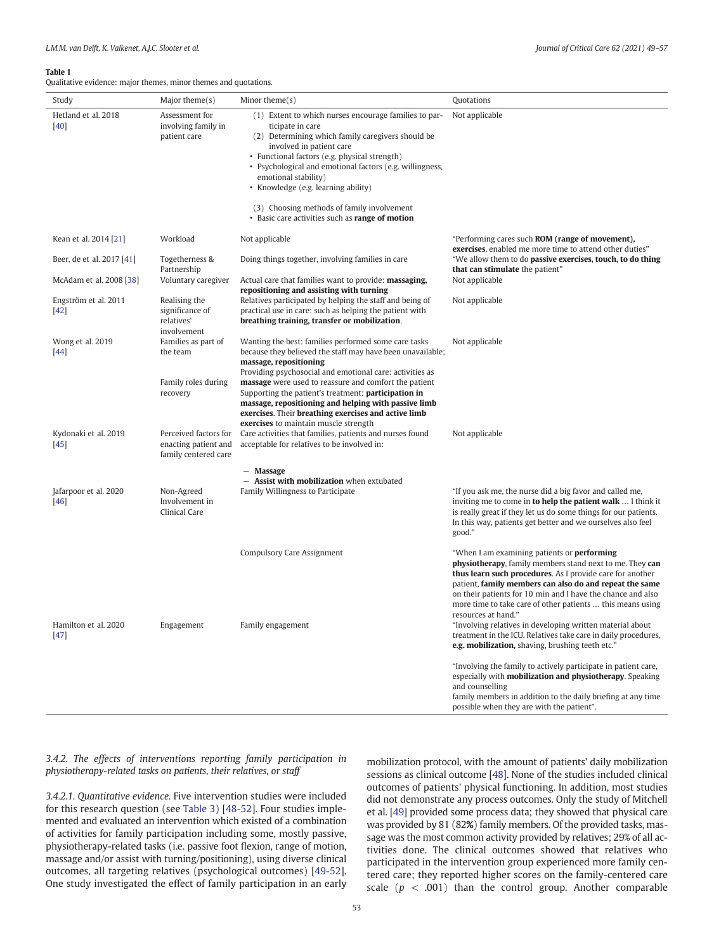#### <span id="page-4-0"></span>Table 1

Qualitative evidence: major themes, minor themes and quotations.

| Study                           | Major theme $(s)$                                                                                        | Minor theme $(s)$                                                                                                                                                                                                                                                                                                                                                                                                                       | Quotations                                                                                                                                                                                                                                                                                                                                                                                                                                                                                                                                                                    |  |
|---------------------------------|----------------------------------------------------------------------------------------------------------|-----------------------------------------------------------------------------------------------------------------------------------------------------------------------------------------------------------------------------------------------------------------------------------------------------------------------------------------------------------------------------------------------------------------------------------------|-------------------------------------------------------------------------------------------------------------------------------------------------------------------------------------------------------------------------------------------------------------------------------------------------------------------------------------------------------------------------------------------------------------------------------------------------------------------------------------------------------------------------------------------------------------------------------|--|
| Hetland et al. 2018<br>$[40]$   | Assessment for<br>involving family in<br>patient care                                                    | (1) Extent to which nurses encourage families to par-<br>ticipate in care<br>(2) Determining which family caregivers should be<br>involved in patient care<br>• Functional factors (e.g. physical strength)<br>• Psychological and emotional factors (e.g. willingness,<br>emotional stability)<br>• Knowledge (e.g. learning ability)<br>(3) Choosing methods of family involvement<br>• Basic care activities such as range of motion | Not applicable                                                                                                                                                                                                                                                                                                                                                                                                                                                                                                                                                                |  |
| Kean et al. 2014 [21]           | Workload                                                                                                 | Not applicable                                                                                                                                                                                                                                                                                                                                                                                                                          | "Performing cares such <b>ROM</b> (range of movement),<br>exercises, enabled me more time to attend other duties"                                                                                                                                                                                                                                                                                                                                                                                                                                                             |  |
| Beer, de et al. 2017 [41]       | Togetherness &<br>Partnership                                                                            | Doing things together, involving families in care                                                                                                                                                                                                                                                                                                                                                                                       | "We allow them to do passive exercises, touch, to do thing<br>that can stimulate the patient"<br>Not applicable                                                                                                                                                                                                                                                                                                                                                                                                                                                               |  |
| McAdam et al. 2008 [38]         | Voluntary caregiver                                                                                      | Actual care that families want to provide: <b>massaging</b> ,<br>repositioning and assisting with turning                                                                                                                                                                                                                                                                                                                               |                                                                                                                                                                                                                                                                                                                                                                                                                                                                                                                                                                               |  |
| Engström et al. 2011<br>$[42]$  | Realising the<br>significance of<br>relatives'<br>involvement                                            | Relatives participated by helping the staff and being of<br>practical use in care: such as helping the patient with<br>breathing training, transfer or mobilization.                                                                                                                                                                                                                                                                    | Not applicable                                                                                                                                                                                                                                                                                                                                                                                                                                                                                                                                                                |  |
| Wong et al. 2019<br>$[44]$      | Families as part of<br>the team                                                                          | Wanting the best: families performed some care tasks<br>because they believed the staff may have been unavailable;<br>massage, repositioning<br>Providing psychosocial and emotional care: activities as                                                                                                                                                                                                                                | Not applicable                                                                                                                                                                                                                                                                                                                                                                                                                                                                                                                                                                |  |
| Kydonaki et al. 2019<br>$[45]$  | Family roles during<br>recovery<br>Perceived factors for<br>enacting patient and<br>family centered care | massage were used to reassure and comfort the patient<br>Supporting the patient's treatment: participation in<br>massage, repositioning and helping with passive limb<br>exercises. Their breathing exercises and active limb<br>exercises to maintain muscle strength<br>Care activities that families, patients and nurses found<br>acceptable for relatives to be involved in:                                                       | Not applicable                                                                                                                                                                                                                                                                                                                                                                                                                                                                                                                                                                |  |
| Jafarpoor et al. 2020<br>$[46]$ | Non-Agreed<br>Involvement in<br>Clinical Care                                                            | - Massage<br>- Assist with mobilization when extubated<br>Family Willingness to Participate                                                                                                                                                                                                                                                                                                                                             | "If you ask me, the nurse did a big favor and called me,<br>inviting me to come in <b>to help the patient walk</b> I think it<br>is really great if they let us do some things for our patients.<br>In this way, patients get better and we ourselves also feel<br>good."                                                                                                                                                                                                                                                                                                     |  |
| Hamilton et al. 2020<br>$[47]$  | Engagement                                                                                               | Compulsory Care Assignment<br>Family engagement                                                                                                                                                                                                                                                                                                                                                                                         | "When I am examining patients or <b>performing</b><br>physiotherapy, family members stand next to me. They can<br>thus learn such procedures. As I provide care for another<br>patient, family members can also do and repeat the same<br>on their patients for 10 min and I have the chance and also<br>more time to take care of other patients  this means using<br>resources at hand."<br>"Involving relatives in developing written material about<br>treatment in the ICU. Relatives take care in daily procedures,<br>e.g. mobilization, shaving, brushing teeth etc." |  |
|                                 |                                                                                                          |                                                                                                                                                                                                                                                                                                                                                                                                                                         | "Involving the family to actively participate in patient care,<br>especially with <b>mobilization and physiotherapy</b> . Speaking<br>and counselling<br>family members in addition to the daily briefing at any time<br>possible when they are with the patient".                                                                                                                                                                                                                                                                                                            |  |

# 3.4.2. The effects of interventions reporting family participation in physiotherapy-related tasks on patients, their relatives, or staff

3.4.2.1. Quantitative evidence. Five intervention studies were included for this research question (see [Table 3\)](#page-6-0) [\[48-52](#page-8-0)]. Four studies implemented and evaluated an intervention which existed of a combination of activities for family participation including some, mostly passive, physiotherapy-related tasks (i.e. passive foot flexion, range of motion, massage and/or assist with turning/positioning), using diverse clinical outcomes, all targeting relatives (psychological outcomes) [[49-52](#page-8-0)]. One study investigated the effect of family participation in an early mobilization protocol, with the amount of patients' daily mobilization sessions as clinical outcome [\[48\]](#page-8-0). None of the studies included clinical outcomes of patients' physical functioning. In addition, most studies did not demonstrate any process outcomes. Only the study of Mitchell et al. [\[49\]](#page-8-0) provided some process data; they showed that physical care was provided by 81 (82%) family members. Of the provided tasks, massage was the most common activity provided by relatives; 29% of all activities done. The clinical outcomes showed that relatives who participated in the intervention group experienced more family centered care; they reported higher scores on the family-centered care scale ( $p < .001$ ) than the control group. Another comparable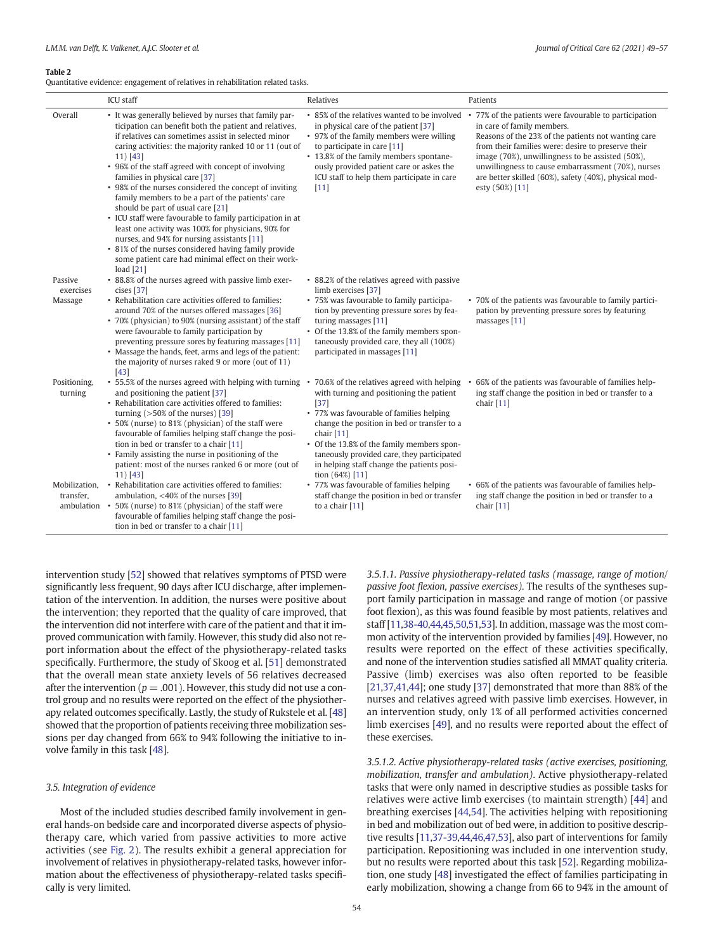#### <span id="page-5-0"></span>Table 2

Quantitative evidence: engagement of relatives in rehabilitation related tasks.

|                                 | <b>ICU</b> staff                                                                                                                                                                                                                                                                                                                                                                                                                                                                                                                                                                                                                                                                                                                                                                               | Relatives                                                                                                                                                                                                                                                                                                                                                                | Patients                                                                                                                                                                                                                                                                                                                                                                              |
|---------------------------------|------------------------------------------------------------------------------------------------------------------------------------------------------------------------------------------------------------------------------------------------------------------------------------------------------------------------------------------------------------------------------------------------------------------------------------------------------------------------------------------------------------------------------------------------------------------------------------------------------------------------------------------------------------------------------------------------------------------------------------------------------------------------------------------------|--------------------------------------------------------------------------------------------------------------------------------------------------------------------------------------------------------------------------------------------------------------------------------------------------------------------------------------------------------------------------|---------------------------------------------------------------------------------------------------------------------------------------------------------------------------------------------------------------------------------------------------------------------------------------------------------------------------------------------------------------------------------------|
| Overall                         | • It was generally believed by nurses that family par-<br>ticipation can benefit both the patient and relatives,<br>if relatives can sometimes assist in selected minor<br>caring activities: the majority ranked 10 or 11 (out of<br>$11)$ [43]<br>• 96% of the staff agreed with concept of involving<br>families in physical care [37]<br>• 98% of the nurses considered the concept of inviting<br>family members to be a part of the patients' care<br>should be part of usual care [21]<br>• ICU staff were favourable to family participation in at<br>least one activity was 100% for physicians, 90% for<br>nurses, and 94% for nursing assistants [11]<br>• 81% of the nurses considered having family provide<br>some patient care had minimal effect on their work-<br>load $[21]$ | • 85% of the relatives wanted to be involved<br>in physical care of the patient [37]<br>• 97% of the family members were willing<br>to participate in care [11]<br>• 13.8% of the family members spontane-<br>ously provided patient care or askes the<br>ICU staff to help them participate in care<br>$[11]$                                                           | 77% of the patients were favourable to participation<br>in care of family members.<br>Reasons of the 23% of the patients not wanting care<br>from their families were: desire to preserve their<br>image (70%), unwillingness to be assisted (50%),<br>unwillingness to cause embarrassment (70%), nurses<br>are better skilled (60%), safety (40%), physical mod-<br>esty (50%) [11] |
| Passive<br>exercises<br>Massage | • 88.8% of the nurses agreed with passive limb exer-<br>cises [37]<br>• Rehabilitation care activities offered to families:<br>around 70% of the nurses offered massages [36]<br>• 70% (physician) to 90% (nursing assistant) of the staff<br>were favourable to family participation by<br>preventing pressure sores by featuring massages [11]<br>• Massage the hands, feet, arms and legs of the patient:<br>the majority of nurses raked 9 or more (out of 11)<br>$[43]$                                                                                                                                                                                                                                                                                                                   | • 88.2% of the relatives agreed with passive<br>limb exercises [37]<br>• 75% was favourable to family participa-<br>tion by preventing pressure sores by fea-<br>turing massages [11]<br>• Of the 13.8% of the family members spon-<br>taneously provided care, they all (100%)<br>participated in massages [11]                                                         | • 70% of the patients was favourable to family partici-<br>pation by preventing pressure sores by featuring<br>massages [11]                                                                                                                                                                                                                                                          |
| Positioning,<br>turning         | • 55.5% of the nurses agreed with helping with turning •<br>and positioning the patient [37]<br>• Rehabilitation care activities offered to families:<br>turning $($ >50% of the nurses) [39]<br>• 50% (nurse) to 81% (physician) of the staff were<br>favourable of families helping staff change the posi-<br>tion in bed or transfer to a chair [11]<br>• Family assisting the nurse in positioning of the<br>patient: most of the nurses ranked 6 or more (out of<br>$11)$ [43]                                                                                                                                                                                                                                                                                                            | 70.6% of the relatives agreed with helping<br>with turning and positioning the patient<br>$[37]$<br>• 77% was favourable of families helping<br>change the position in bed or transfer to a<br>chair $[11]$<br>• Of the 13.8% of the family members spon-<br>taneously provided care, they participated<br>in helping staff change the patients posi-<br>tion (64%) [11] | 66% of the patients was favourable of families help-<br>ing staff change the position in bed or transfer to a<br>chair [11]                                                                                                                                                                                                                                                           |
| Mobilization,<br>transfer,      | • Rehabilitation care activities offered to families:<br>ambulation, <40% of the nurses [39]<br>ambulation $\cdot$ 50% (nurse) to 81% (physician) of the staff were<br>favourable of families helping staff change the posi-<br>tion in bed or transfer to a chair [11]                                                                                                                                                                                                                                                                                                                                                                                                                                                                                                                        | • 77% was favourable of families helping<br>staff change the position in bed or transfer<br>to a chair [11]                                                                                                                                                                                                                                                              | • 66% of the patients was favourable of families help-<br>ing staff change the position in bed or transfer to a<br>chair [11]                                                                                                                                                                                                                                                         |

intervention study [\[52](#page-8-0)] showed that relatives symptoms of PTSD were significantly less frequent, 90 days after ICU discharge, after implementation of the intervention. In addition, the nurses were positive about the intervention; they reported that the quality of care improved, that the intervention did not interfere with care of the patient and that it improved communication with family. However, this study did also not report information about the effect of the physiotherapy-related tasks specifically. Furthermore, the study of Skoog et al. [\[51](#page-8-0)] demonstrated that the overall mean state anxiety levels of 56 relatives decreased after the intervention ( $p = .001$ ). However, this study did not use a control group and no results were reported on the effect of the physiotherapy related outcomes specifically. Lastly, the study of Rukstele et al. [\[48](#page-8-0)] showed that the proportion of patients receiving three mobilization sessions per day changed from 66% to 94% following the initiative to involve family in this task [\[48](#page-8-0)].

# 3.5. Integration of evidence

Most of the included studies described family involvement in general hands-on bedside care and incorporated diverse aspects of physiotherapy care, which varied from passive activities to more active activities (see [Fig. 2](#page-3-0)). The results exhibit a general appreciation for involvement of relatives in physiotherapy-related tasks, however information about the effectiveness of physiotherapy-related tasks specifically is very limited.

3.5.1.1. Passive physiotherapy-related tasks (massage, range of motion/ passive foot flexion, passive exercises). The results of the syntheses support family participation in massage and range of motion (or passive foot flexion), as this was found feasible by most patients, relatives and staff [[11,](#page-7-0)[38-40,44,45,50](#page-8-0),[51,53](#page-8-0)]. In addition, massage was the most common activity of the intervention provided by families [[49\]](#page-8-0). However, no results were reported on the effect of these activities specifically, and none of the intervention studies satisfied all MMAT quality criteria. Passive (limb) exercises was also often reported to be feasible [[21,37,41,44](#page-8-0)]; one study [[37\]](#page-8-0) demonstrated that more than 88% of the nurses and relatives agreed with passive limb exercises. However, in an intervention study, only 1% of all performed activities concerned limb exercises [[49\]](#page-8-0), and no results were reported about the effect of these exercises.

3.5.1.2. Active physiotherapy-related tasks (active exercises, positioning, mobilization, transfer and ambulation). Active physiotherapy-related tasks that were only named in descriptive studies as possible tasks for relatives were active limb exercises (to maintain strength) [[44](#page-8-0)] and breathing exercises [[44](#page-8-0),[54](#page-8-0)]. The activities helping with repositioning in bed and mobilization out of bed were, in addition to positive descriptive results [\[11](#page-7-0),[37-39,44,46](#page-8-0),[47,53](#page-8-0)], also part of interventions for family participation. Repositioning was included in one intervention study, but no results were reported about this task [\[52\]](#page-8-0). Regarding mobilization, one study [\[48](#page-8-0)] investigated the effect of families participating in early mobilization, showing a change from 66 to 94% in the amount of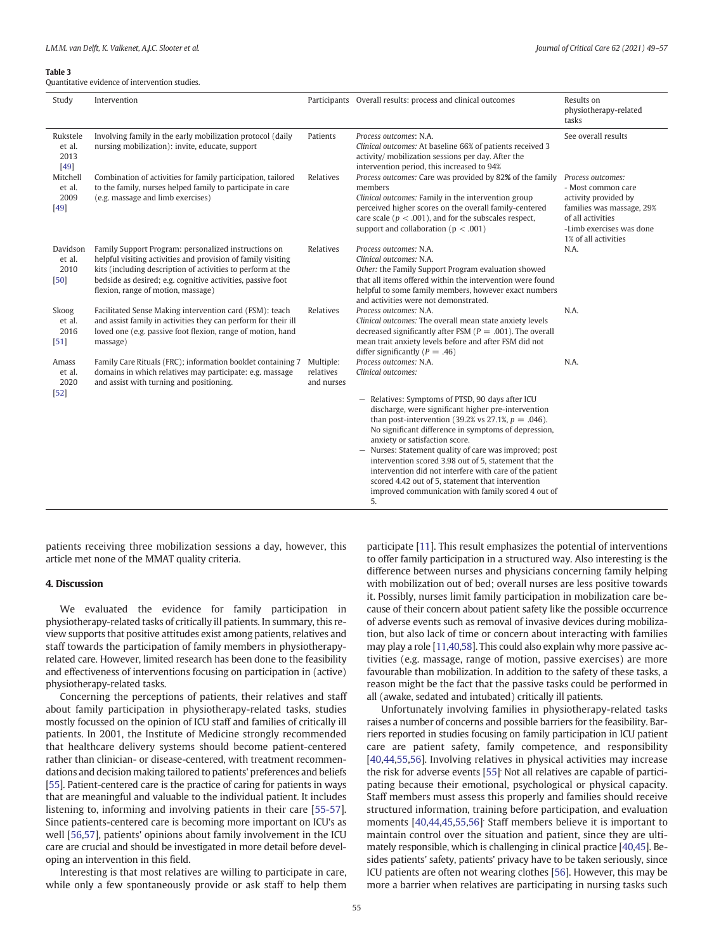#### <span id="page-6-0"></span>Table 3

Quantitative evidence of intervention studies.

| Study                                | Intervention                                                                                                                                                                                                                                                                             |                                      | Participants Overall results: process and clinical outcomes                                                                                                                                                                                                                                                                                                                                                                                                                                                                                             | Results on<br>physiotherapy-related<br>tasks                                                                                                                          |
|--------------------------------------|------------------------------------------------------------------------------------------------------------------------------------------------------------------------------------------------------------------------------------------------------------------------------------------|--------------------------------------|---------------------------------------------------------------------------------------------------------------------------------------------------------------------------------------------------------------------------------------------------------------------------------------------------------------------------------------------------------------------------------------------------------------------------------------------------------------------------------------------------------------------------------------------------------|-----------------------------------------------------------------------------------------------------------------------------------------------------------------------|
| Rukstele<br>et al.<br>2013<br>$[49]$ | Involving family in the early mobilization protocol (daily<br>nursing mobilization): invite, educate, support                                                                                                                                                                            | Patients                             | Process outcomes: N.A.<br>Clinical outcomes: At baseline 66% of patients received 3<br>activity/ mobilization sessions per day. After the<br>intervention period, this increased to 94%                                                                                                                                                                                                                                                                                                                                                                 | See overall results                                                                                                                                                   |
| Mitchell<br>et al.<br>2009<br>$[49]$ | Combination of activities for family participation, tailored<br>to the family, nurses helped family to participate in care<br>(e.g. massage and limb exercises)                                                                                                                          | Relatives                            | Process outcomes: Care was provided by 82% of the family<br>members<br>Clinical outcomes: Family in the intervention group<br>perceived higher scores on the overall family-centered<br>care scale ( $p < .001$ ), and for the subscales respect,<br>support and collaboration ( $p < .001$ )                                                                                                                                                                                                                                                           | Process outcomes:<br>- Most common care<br>activity provided by<br>families was massage, 29%<br>of all activities<br>-Limb exercises was done<br>1% of all activities |
| Davidson<br>et al.<br>2010<br>$[50]$ | Family Support Program: personalized instructions on<br>helpful visiting activities and provision of family visiting<br>kits (including description of activities to perform at the<br>bedside as desired; e.g. cognitive activities, passive foot<br>flexion, range of motion, massage) | Relatives                            | Process outcomes: N.A.<br>Clinical outcomes: N.A.<br>Other: the Family Support Program evaluation showed<br>that all items offered within the intervention were found<br>helpful to some family members, however exact numbers<br>and activities were not demonstrated.                                                                                                                                                                                                                                                                                 | N.A.                                                                                                                                                                  |
| Skoog<br>et al.<br>2016<br>$[51]$    | Facilitated Sense Making intervention card (FSM): teach<br>and assist family in activities they can perform for their ill<br>loved one (e.g. passive foot flexion, range of motion, hand<br>massage)                                                                                     | Relatives                            | Process outcomes: N.A.<br>Clinical outcomes: The overall mean state anxiety levels<br>decreased significantly after FSM ( $P = .001$ ). The overall<br>mean trait anxiety levels before and after FSM did not<br>differ significantly ( $P = .46$ )                                                                                                                                                                                                                                                                                                     | N.A.                                                                                                                                                                  |
| Amass<br>et al.<br>2020              | Family Care Rituals (FRC); information booklet containing 7<br>domains in which relatives may participate: e.g. massage<br>and assist with turning and positioning.                                                                                                                      | Multiple:<br>relatives<br>and nurses | Process outcomes: N.A.<br>Clinical outcomes:                                                                                                                                                                                                                                                                                                                                                                                                                                                                                                            | N.A.                                                                                                                                                                  |
| $[52]$                               |                                                                                                                                                                                                                                                                                          |                                      | - Relatives: Symptoms of PTSD, 90 days after ICU<br>discharge, were significant higher pre-intervention<br>than post-intervention (39.2% vs 27.1%, $p = .046$ ).<br>No significant difference in symptoms of depression,<br>anxiety or satisfaction score.<br>Nurses: Statement quality of care was improved; post<br>intervention scored 3.98 out of 5, statement that the<br>intervention did not interfere with care of the patient<br>scored 4.42 out of 5, statement that intervention<br>improved communication with family scored 4 out of<br>5. |                                                                                                                                                                       |

patients receiving three mobilization sessions a day, however, this article met none of the MMAT quality criteria.

# 4. Discussion

We evaluated the evidence for family participation in physiotherapy-related tasks of critically ill patients. In summary, this review supports that positive attitudes exist among patients, relatives and staff towards the participation of family members in physiotherapyrelated care. However, limited research has been done to the feasibility and effectiveness of interventions focusing on participation in (active) physiotherapy-related tasks.

Concerning the perceptions of patients, their relatives and staff about family participation in physiotherapy-related tasks, studies mostly focussed on the opinion of ICU staff and families of critically ill patients. In 2001, the Institute of Medicine strongly recommended that healthcare delivery systems should become patient-centered rather than clinician- or disease-centered, with treatment recommendations and decision making tailored to patients' preferences and beliefs [[55\]](#page-8-0). Patient-centered care is the practice of caring for patients in ways that are meaningful and valuable to the individual patient. It includes listening to, informing and involving patients in their care [[55-57](#page-8-0)]. Since patients-centered care is becoming more important on ICU's as well [\[56,57](#page-8-0)], patients' opinions about family involvement in the ICU care are crucial and should be investigated in more detail before developing an intervention in this field.

Interesting is that most relatives are willing to participate in care, while only a few spontaneously provide or ask staff to help them participate [\[11](#page-7-0)]. This result emphasizes the potential of interventions to offer family participation in a structured way. Also interesting is the difference between nurses and physicians concerning family helping with mobilization out of bed; overall nurses are less positive towards it. Possibly, nurses limit family participation in mobilization care because of their concern about patient safety like the possible occurrence of adverse events such as removal of invasive devices during mobilization, but also lack of time or concern about interacting with families may play a role [[11](#page-7-0)[,40,58\]](#page-8-0). This could also explain why more passive activities (e.g. massage, range of motion, passive exercises) are more favourable than mobilization. In addition to the safety of these tasks, a reason might be the fact that the passive tasks could be performed in all (awake, sedated and intubated) critically ill patients.

Unfortunately involving families in physiotherapy-related tasks raises a number of concerns and possible barriers for the feasibility. Barriers reported in studies focusing on family participation in ICU patient care are patient safety, family competence, and responsibility [[40,44,55,56\]](#page-8-0). Involving relatives in physical activities may increase the risk for adverse events [[55\]](#page-8-0) . Not all relatives are capable of participating because their emotional, psychological or physical capacity. Staff members must assess this properly and families should receive structured information, training before participation, and evaluation moments [[40,44,45,55](#page-8-0),[56](#page-8-0)] Staff members believe it is important to maintain control over the situation and patient, since they are ultimately responsible, which is challenging in clinical practice [\[40,45\]](#page-8-0). Besides patients' safety, patients' privacy have to be taken seriously, since ICU patients are often not wearing clothes [[56\]](#page-8-0). However, this may be more a barrier when relatives are participating in nursing tasks such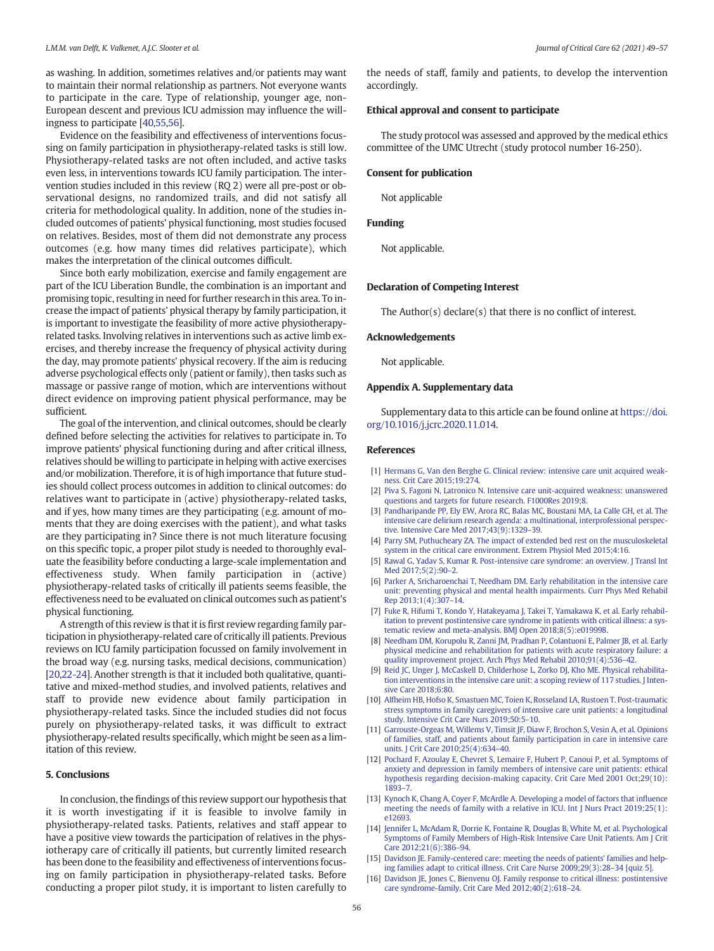<span id="page-7-0"></span>as washing. In addition, sometimes relatives and/or patients may want to maintain their normal relationship as partners. Not everyone wants to participate in the care. Type of relationship, younger age, non-European descent and previous ICU admission may influence the willingness to participate [\[40,55,56](#page-8-0)].

Evidence on the feasibility and effectiveness of interventions focussing on family participation in physiotherapy-related tasks is still low. Physiotherapy-related tasks are not often included, and active tasks even less, in interventions towards ICU family participation. The intervention studies included in this review (RQ 2) were all pre-post or observational designs, no randomized trails, and did not satisfy all criteria for methodological quality. In addition, none of the studies included outcomes of patients' physical functioning, most studies focused on relatives. Besides, most of them did not demonstrate any process outcomes (e.g. how many times did relatives participate), which makes the interpretation of the clinical outcomes difficult.

Since both early mobilization, exercise and family engagement are part of the ICU Liberation Bundle, the combination is an important and promising topic, resulting in need for further research in this area. To increase the impact of patients' physical therapy by family participation, it is important to investigate the feasibility of more active physiotherapyrelated tasks. Involving relatives in interventions such as active limb exercises, and thereby increase the frequency of physical activity during the day, may promote patients' physical recovery. If the aim is reducing adverse psychological effects only (patient or family), then tasks such as massage or passive range of motion, which are interventions without direct evidence on improving patient physical performance, may be sufficient.

The goal of the intervention, and clinical outcomes, should be clearly defined before selecting the activities for relatives to participate in. To improve patients' physical functioning during and after critical illness, relatives should be willing to participate in helping with active exercises and/or mobilization. Therefore, it is of high importance that future studies should collect process outcomes in addition to clinical outcomes: do relatives want to participate in (active) physiotherapy-related tasks, and if yes, how many times are they participating (e.g. amount of moments that they are doing exercises with the patient), and what tasks are they participating in? Since there is not much literature focusing on this specific topic, a proper pilot study is needed to thoroughly evaluate the feasibility before conducting a large-scale implementation and effectiveness study. When family participation in (active) physiotherapy-related tasks of critically ill patients seems feasible, the effectiveness need to be evaluated on clinical outcomes such as patient's physical functioning.

A strength of this review is that it is first review regarding family participation in physiotherapy-related care of critically ill patients. Previous reviews on ICU family participation focussed on family involvement in the broad way (e.g. nursing tasks, medical decisions, communication) [[20,22-24](#page-8-0)]. Another strength is that it included both qualitative, quantitative and mixed-method studies, and involved patients, relatives and staff to provide new evidence about family participation in physiotherapy-related tasks. Since the included studies did not focus purely on physiotherapy-related tasks, it was difficult to extract physiotherapy-related results specifically, which might be seen as a limitation of this review.

# 5. Conclusions

In conclusion, the findings of this review support our hypothesis that it is worth investigating if it is feasible to involve family in physiotherapy-related tasks. Patients, relatives and staff appear to have a positive view towards the participation of relatives in the physiotherapy care of critically ill patients, but currently limited research has been done to the feasibility and effectiveness of interventions focusing on family participation in physiotherapy-related tasks. Before conducting a proper pilot study, it is important to listen carefully to the needs of staff, family and patients, to develop the intervention accordingly.

# Ethical approval and consent to participate

The study protocol was assessed and approved by the medical ethics committee of the UMC Utrecht (study protocol number 16-250).

# Consent for publication

Not applicable

# Funding

Not applicable.

## Declaration of Competing Interest

The Author(s) declare(s) that there is no conflict of interest.

# Acknowledgements

Not applicable.

## Appendix A. Supplementary data

Supplementary data to this article can be found online at [https://doi.](https://doi.org/10.1016/j.jcrc.2020.11.014) [org/10.1016/j.jcrc.2020.11.014.](https://doi.org/10.1016/j.jcrc.2020.11.014)

## References

- [1] [Hermans G, Van den Berghe G. Clinical review: intensive care unit acquired weak](http://refhub.elsevier.com/S0883-9441(20)30778-4/rf0005)[ness. Crit Care 2015;19:274.](http://refhub.elsevier.com/S0883-9441(20)30778-4/rf0005)
- [2] [Piva S, Fagoni N, Latronico N. Intensive care unit-acquired weakness: unanswered](http://refhub.elsevier.com/S0883-9441(20)30778-4/rf0010) [questions and targets for future research. F1000Res 2019;8.](http://refhub.elsevier.com/S0883-9441(20)30778-4/rf0010)
- [3] [Pandharipande PP, Ely EW, Arora RC, Balas MC, Boustani MA, La Calle GH, et al. The](http://refhub.elsevier.com/S0883-9441(20)30778-4/rf0015) [intensive care delirium research agenda: a multinational, interprofessional perspec](http://refhub.elsevier.com/S0883-9441(20)30778-4/rf0015)[tive. Intensive Care Med 2017;43\(9\):1329](http://refhub.elsevier.com/S0883-9441(20)30778-4/rf0015)–39.
- [4] [Parry SM, Puthucheary ZA. The impact of extended bed rest on the musculoskeletal](http://refhub.elsevier.com/S0883-9441(20)30778-4/rf0020) [system in the critical care environment. Extrem Physiol Med 2015;4:16.](http://refhub.elsevier.com/S0883-9441(20)30778-4/rf0020)
- [5] [Rawal G, Yadav S, Kumar R. Post-intensive care syndrome: an overview. J Transl Int](http://refhub.elsevier.com/S0883-9441(20)30778-4/rf0025) [Med 2017;5\(2\):90](http://refhub.elsevier.com/S0883-9441(20)30778-4/rf0025)–2.
- [6] [Parker A, Sricharoenchai T, Needham DM. Early rehabilitation in the intensive care](http://refhub.elsevier.com/S0883-9441(20)30778-4/rf0030) [unit: preventing physical and mental health impairments. Curr Phys Med Rehabil](http://refhub.elsevier.com/S0883-9441(20)30778-4/rf0030) [Rep 2013;1\(4\):307](http://refhub.elsevier.com/S0883-9441(20)30778-4/rf0030)–14.
- [7] [Fuke R, Hifumi T, Kondo Y, Hatakeyama J, Takei T, Yamakawa K, et al. Early rehabil](http://refhub.elsevier.com/S0883-9441(20)30778-4/rf0035)[itation to prevent postintensive care syndrome in patients with critical illness: a sys](http://refhub.elsevier.com/S0883-9441(20)30778-4/rf0035)[tematic review and meta-analysis. BMJ Open 2018;8\(5\):e019998.](http://refhub.elsevier.com/S0883-9441(20)30778-4/rf0035)
- [8] [Needham DM, Korupolu R, Zanni JM, Pradhan P, Colantuoni E, Palmer JB, et al. Early](http://refhub.elsevier.com/S0883-9441(20)30778-4/rf0040) [physical medicine and rehabilitation for patients with acute respiratory failure: a](http://refhub.elsevier.com/S0883-9441(20)30778-4/rf0040) [quality improvement project. Arch Phys Med Rehabil 2010;91\(4\):536](http://refhub.elsevier.com/S0883-9441(20)30778-4/rf0040)–42.
- [9] [Reid JC, Unger J, McCaskell D, Childerhose L, Zorko DJ, Kho ME. Physical rehabilita](http://refhub.elsevier.com/S0883-9441(20)30778-4/rf0045)[tion interventions in the intensive care unit: a scoping review of 117 studies. J Inten](http://refhub.elsevier.com/S0883-9441(20)30778-4/rf0045)[sive Care 2018;6:80.](http://refhub.elsevier.com/S0883-9441(20)30778-4/rf0045)
- [10] [Alfheim HB, Hofso K, Smastuen MC, Toien K, Rosseland LA, Rustoen T. Post-traumatic](http://refhub.elsevier.com/S0883-9441(20)30778-4/rf0050) [stress symptoms in family caregivers of intensive care unit patients: a longitudinal](http://refhub.elsevier.com/S0883-9441(20)30778-4/rf0050) [study. Intensive Crit Care Nurs 2019;50:5](http://refhub.elsevier.com/S0883-9441(20)30778-4/rf0050)–10.
- [11] [Garrouste-Orgeas M, Willems V, Timsit JF, Diaw F, Brochon S, Vesin A, et al. Opinions](http://refhub.elsevier.com/S0883-9441(20)30778-4/rf0055) [of families, staff, and patients about family participation in care in intensive care](http://refhub.elsevier.com/S0883-9441(20)30778-4/rf0055) [units. J Crit Care 2010;25\(4\):634](http://refhub.elsevier.com/S0883-9441(20)30778-4/rf0055)–40.
- [12] [Pochard F, Azoulay E, Chevret S, Lemaire F, Hubert P, Canoui P, et al. Symptoms of](http://refhub.elsevier.com/S0883-9441(20)30778-4/or0005) [anxiety and depression in family members of intensive care unit patients: ethical](http://refhub.elsevier.com/S0883-9441(20)30778-4/or0005) [hypothesis regarding decision-making capacity. Crit Care Med 2001 Oct;29\(10\):](http://refhub.elsevier.com/S0883-9441(20)30778-4/or0005) [1893](http://refhub.elsevier.com/S0883-9441(20)30778-4/or0005)–7.
- [13] [Kynoch K, Chang A, Coyer F, McArdle A. Developing a model of factors that in](http://refhub.elsevier.com/S0883-9441(20)30778-4/rf0060)fluence [meeting the needs of family with a relative in ICU. Int J Nurs Pract 2019;25\(1\):](http://refhub.elsevier.com/S0883-9441(20)30778-4/rf0060) [e12693.](http://refhub.elsevier.com/S0883-9441(20)30778-4/rf0060)
- [14] [Jennifer L, McAdam R, Dorrie K, Fontaine R, Douglas B, White M, et al. Psychological](http://refhub.elsevier.com/S0883-9441(20)30778-4/rf0065) [Symptoms of Family Members of High-Risk Intensive Care Unit Patients. Am J Crit](http://refhub.elsevier.com/S0883-9441(20)30778-4/rf0065) [Care 2012;21\(6\):386](http://refhub.elsevier.com/S0883-9441(20)30778-4/rf0065)–94.
- [15] [Davidson JE. Family-centered care: meeting the needs of patients](http://refhub.elsevier.com/S0883-9441(20)30778-4/rf0070)' families and help[ing families adapt to critical illness. Crit Care Nurse 2009;29\(3\):28](http://refhub.elsevier.com/S0883-9441(20)30778-4/rf0070)–34 [quiz 5].
- [16] [Davidson JE, Jones C, Bienvenu OJ. Family response to critical illness: postintensive](http://refhub.elsevier.com/S0883-9441(20)30778-4/rf0075) [care syndrome-family. Crit Care Med 2012;40\(2\):618](http://refhub.elsevier.com/S0883-9441(20)30778-4/rf0075)–24.